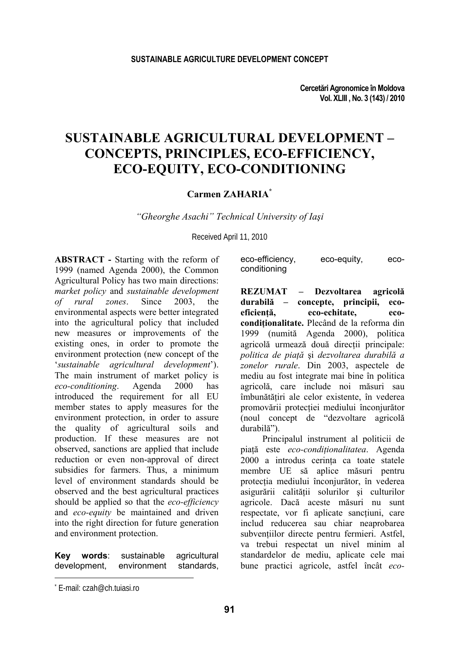**Cercetări Agronomice în Moldova Vol. XLIII , No. 3 (143) / 2010** 

# **SUSTAINABLE AGRICULTURAL DEVELOPMENT – CONCEPTS, PRINCIPLES, ECO-EFFICIENCY, ECO-EQUITY, ECO-CONDITIONING**

#### **Carmen ZAHARIA\***

*"Gheorghe Asachi" Technical University of Iaşi* 

Received April 11, 2010

**ABSTRACT -** Starting with the reform of 1999 (named Agenda 2000), the Common Agricultural Policy has two main directions: *market policy* and *sustainable development of rural zones*. Since 2003, the environmental aspects were better integrated into the agricultural policy that included new measures or improvements of the existing ones, in order to promote the environment protection (new concept of the '*sustainable agricultural development*'). The main instrument of market policy is *eco-conditioning*. Agenda 2000 has introduced the requirement for all EU member states to apply measures for the environment protection, in order to assure the quality of agricultural soils and production. If these measures are not observed, sanctions are applied that include reduction or even non-approval of direct subsidies for farmers. Thus, a minimum level of environment standards should be observed and the best agricultural practices should be applied so that the *eco-efficiency* and *eco-equity* be maintained and driven into the right direction for future generation and environment protection.

**Key words**: sustainable agricultural development, environment standards,

| eco-efficiency, | eco-equity, | eco- |
|-----------------|-------------|------|
| conditioning    |             |      |

**REZUMAT – Dezvoltarea agricolă durabilă – concepte, principii, ecoeficienţă, eco-echitate, ecocondiţionalitate.** Plecând de la reforma din 1999 (numită Agenda 2000), politica agricolă urmează două direcții principale: *politica de piaţă* şi *dezvoltarea durabilă a zonelor rurale*. Din 2003, aspectele de mediu au fost integrate mai bine în politica agricolă, care include noi măsuri sau îmbunătăţiri ale celor existente, în vederea promovării protecţiei mediului înconjurător (noul concept de "dezvoltare agricolă durabilă").

Principalul instrument al politicii de piaţă este *eco-condiţionalitatea*. Agenda 2000 a introdus cerinta ca toate statele membre UE să aplice măsuri pentru protecţia mediului înconjurător, în vederea asigurării calităţii solurilor şi culturilor agricole. Dacă aceste măsuri nu sunt respectate, vor fi aplicate sanctiuni, care includ reducerea sau chiar neaprobarea subventiilor directe pentru fermieri. Astfel, va trebui respectat un nivel minim al standardelor de mediu, aplicate cele mai bune practici agricole, astfel încât *eco-*

l

<sup>\*</sup> E-mail: czah@ch.tuiasi.ro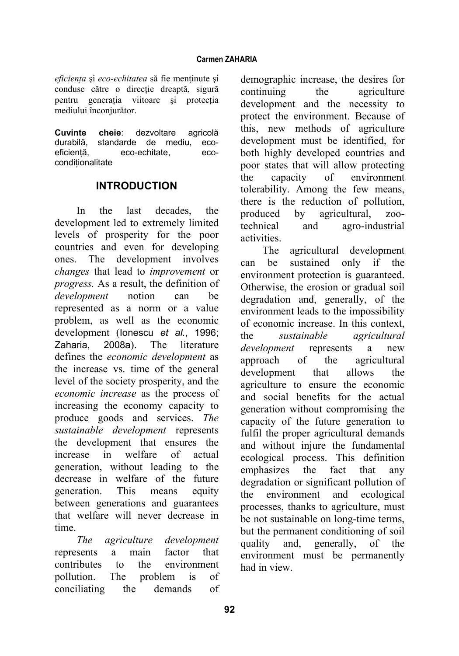*eficienţa* şi *eco-echitatea* să fie menţinute şi conduse către o directie dreaptă, sigură pentru generaţia viitoare şi protecţia mediului înconjurător.

**Cuvinte cheie**: dezvoltare agricolă durabilă, standarde de mediu, ecoeficientă, eco-echitate, ecoconditionalitate

### **INTRODUCTION**

In the last decades, the development led to extremely limited levels of prosperity for the poor countries and even for developing ones. The development involves *changes* that lead to *improvement* or *progress.* As a result, the definition of *development* notion can be represented as a norm or a value problem, as well as the economic development (Ionescu *et al.*, 1996; Zaharia, 2008a). The literature defines the *economic development* as the increase vs. time of the general level of the society prosperity, and the *economic increase* as the process of increasing the economy capacity to produce goods and services. *The sustainable development* represents the development that ensures the increase in welfare of actual generation, without leading to the decrease in welfare of the future generation. This means equity between generations and guarantees that welfare will never decrease in time.

*The agriculture development*  represents a main factor that contributes to the environment pollution. The problem is of conciliating the demands of demographic increase, the desires for continuing the agriculture development and the necessity to protect the environment. Because of this, new methods of agriculture development must be identified, for both highly developed countries and poor states that will allow protecting the capacity of environment tolerability. Among the few means, there is the reduction of pollution, produced by agricultural, zootechnical and agro-industrial activities.

The agricultural development can be sustained only if the environment protection is guaranteed. Otherwise, the erosion or gradual soil degradation and, generally, of the environment leads to the impossibility of economic increase. In this context, the *sustainable agricultural development* represents a new approach of the agricultural development that allows the agriculture to ensure the economic and social benefits for the actual generation without compromising the capacity of the future generation to fulfil the proper agricultural demands and without injure the fundamental ecological process. This definition emphasizes the fact that any degradation or significant pollution of the environment and ecological processes, thanks to agriculture, must be not sustainable on long-time terms, but the permanent conditioning of soil quality and, generally, of the environment must be permanently had in view.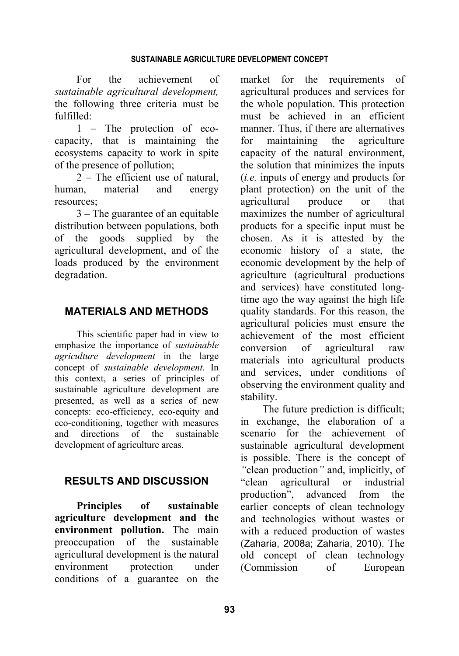For the achievement of *sustainable agricultural development,* the following three criteria must be fulfilled:

1 – The protection of ecocapacity, that is maintaining the ecosystems capacity to work in spite of the presence of pollution;

2 – The efficient use of natural, human, material and energy resources;

3 – The guarantee of an equitable distribution between populations, both of the goods supplied by the agricultural development, and of the loads produced by the environment degradation.

# **MATERIALS AND METHODS**

This scientific paper had in view to emphasize the importance of *sustainable agriculture development* in the large concept of *sustainable development*. In this context, a series of principles of sustainable agriculture development are presented, as well as a series of new concepts: eco-efficiency, eco-equity and eco-conditioning, together with measures and directions of the sustainable development of agriculture areas.

# **RESULTS AND DISCUSSION**

**Principles of sustainable agriculture development and the environment pollution.** The main preoccupation of the sustainable agricultural development is the natural environment protection under conditions of a guarantee on the market for the requirements of agricultural produces and services for the whole population. This protection must be achieved in an efficient manner. Thus, if there are alternatives for maintaining the agriculture capacity of the natural environment, the solution that minimizes the inputs (*i.e.* inputs of energy and products for plant protection) on the unit of the agricultural produce or that maximizes the number of agricultural products for a specific input must be chosen. As it is attested by the economic history of a state, the economic development by the help of agriculture (agricultural productions and services) have constituted longtime ago the way against the high life quality standards. For this reason, the agricultural policies must ensure the achievement of the most efficient conversion of agricultural raw materials into agricultural products and services, under conditions of observing the environment quality and stability.

The future prediction is difficult; in exchange, the elaboration of a scenario for the achievement of sustainable agricultural development is possible. There is the concept of *"*clean production*"* and, implicitly, of "clean agricultural or industrial<br>production", advanced from the advanced from the earlier concepts of clean technology and technologies without wastes or with a reduced production of wastes (Zaharia, 2008a; Zaharia, 2010). The old concept of clean technology (Commission of European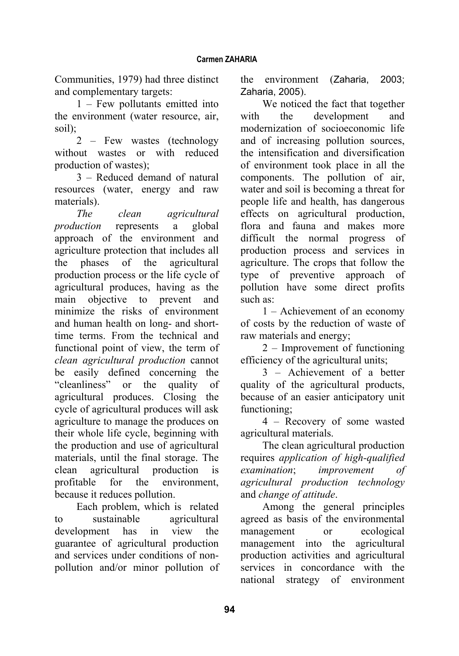Communities, 1979) had three distinct and complementary targets:

1 – Few pollutants emitted into the environment (water resource, air, soil);

2 – Few wastes (technology without wastes or with reduced production of wastes);

3 – Reduced demand of natural resources (water, energy and raw materials).

*The clean agricultural production* represents a global approach of the environment and agriculture protection that includes all the phases of the agricultural production process or the life cycle of agricultural produces, having as the main objective to prevent and minimize the risks of environment and human health on long- and shorttime terms. From the technical and functional point of view, the term of *clean agricultural production* cannot be easily defined concerning the "cleanliness" or the quality of agricultural produces. Closing the cycle of agricultural produces will ask agriculture to manage the produces on their whole life cycle, beginning with the production and use of agricultural materials, until the final storage. The clean agricultural production is profitable for the environment, because it reduces pollution.

Each problem, which is related to sustainable agricultural development has in view the guarantee of agricultural production and services under conditions of nonpollution and/or minor pollution of

the environment (Zaharia, 2003; Zaharia, 2005).

We noticed the fact that together with the development and modernization of socioeconomic life and of increasing pollution sources, the intensification and diversification of environment took place in all the components. The pollution of air, water and soil is becoming a threat for people life and health, has dangerous effects on agricultural production, flora and fauna and makes more difficult the normal progress of production process and services in agriculture. The crops that follow the type of preventive approach of pollution have some direct profits such as:

1 – Achievement of an economy of costs by the reduction of waste of raw materials and energy;

2 – Improvement of functioning efficiency of the agricultural units;

3 – Achievement of a better quality of the agricultural products, because of an easier anticipatory unit functioning;

4 – Recovery of some wasted agricultural materials.

The clean agricultural production requires *application of high-qualified examination*; *improvement of agricultural production technology*  and *change of attitude*.

Among the general principles agreed as basis of the environmental management or ecological management into the agricultural production activities and agricultural services in concordance with the national strategy of environment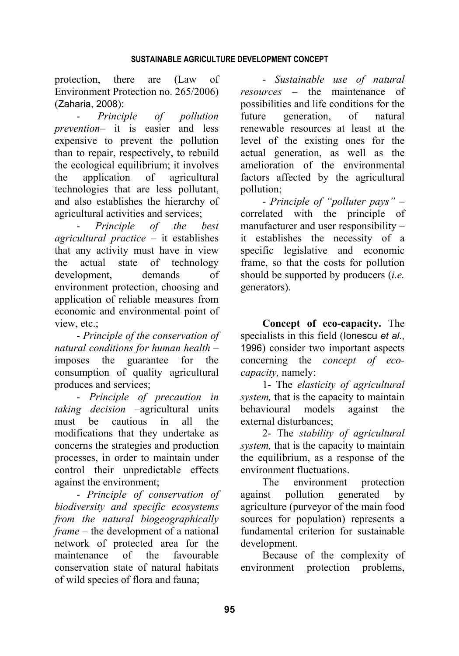protection, there are (Law of Environment Protection no. 265/2006) (Zaharia, 2008):

- *Principle of pollution prevention*– it is easier and less expensive to prevent the pollution than to repair, respectively, to rebuild the ecological equilibrium; it involves the application of agricultural technologies that are less pollutant, and also establishes the hierarchy of agricultural activities and services;

- *Principle of the best agricultural practice* – it establishes that any activity must have in view the actual state of technology development, demands of environment protection, choosing and application of reliable measures from economic and environmental point of view, etc.;

- *Principle of the conservation of natural conditions for human health* – imposes the guarantee for the consumption of quality agricultural produces and services;

- *Principle of precaution in taking decision* –agricultural units must be cautious in all the modifications that they undertake as concerns the strategies and production processes, in order to maintain under control their unpredictable effects against the environment;

- *Principle of conservation of biodiversity and specific ecosystems from the natural biogeographically frame* – the development of a national network of protected area for the maintenance of the favourable conservation state of natural habitats of wild species of flora and fauna;

- *Sustainable use of natural resources* – the maintenance of possibilities and life conditions for the future generation, of natural renewable resources at least at the level of the existing ones for the actual generation, as well as the amelioration of the environmental factors affected by the agricultural pollution;

- *Principle of "polluter pays"* – correlated with the principle of manufacturer and user responsibility – it establishes the necessity of a specific legislative and economic frame, so that the costs for pollution should be supported by producers (*i.e.* generators).

**Concept of eco-capacity.** The specialists in this field (Ionescu *et al.*, 1996) consider two important aspects concerning the *concept of ecocapacity,* namely:

1- The *elasticity of agricultural system,* that is the capacity to maintain behavioural models against the external disturbances;

2- The *stability of agricultural system,* that is the capacity to maintain the equilibrium, as a response of the environment fluctuations.

The environment protection against pollution generated by agriculture (purveyor of the main food sources for population) represents a fundamental criterion for sustainable development.

Because of the complexity of environment protection problems,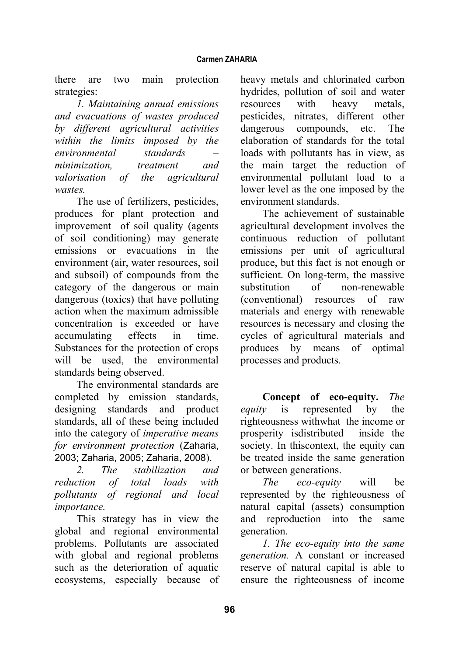there are two main protection strategies:

*1. Maintaining annual emissions and evacuations of wastes produced by different agricultural activities within the limits imposed by the environmental standards – minimization, treatment and valorisation of the agricultural wastes.* 

The use of fertilizers, pesticides, produces for plant protection and improvement of soil quality (agents of soil conditioning) may generate emissions or evacuations in the environment (air, water resources, soil and subsoil) of compounds from the category of the dangerous or main dangerous (toxics) that have polluting action when the maximum admissible concentration is exceeded or have accumulating effects in time. Substances for the protection of crops will be used, the environmental standards being observed.

The environmental standards are completed by emission standards, designing standards and product standards, all of these being included into the category of *imperative means for environment protection* (Zaharia, 2003; Zaharia, 2005; Zaharia, 2008).

*2. The stabilization and reduction of total loads with pollutants of regional and local importance.* 

This strategy has in view the global and regional environmental problems. Pollutants are associated with global and regional problems such as the deterioration of aquatic ecosystems, especially because of heavy metals and chlorinated carbon hydrides, pollution of soil and water resources with heavy metals, pesticides, nitrates, different other dangerous compounds, etc. The elaboration of standards for the total loads with pollutants has in view, as the main target the reduction of environmental pollutant load to a lower level as the one imposed by the environment standards.

The achievement of sustainable agricultural development involves the continuous reduction of pollutant emissions per unit of agricultural produce, but this fact is not enough or sufficient. On long-term, the massive substitution of non-renewable (conventional) resources of raw materials and energy with renewable resources is necessary and closing the cycles of agricultural materials and produces by means of optimal processes and products.

**Concept of eco-equity.** *The equity* is represented by the righteousness withwhat the income or prosperity isdistributed inside the society. In thiscontext, the equity can be treated inside the same generation or between generations.

*The eco-equity* will be represented by the righteousness of natural capital (assets) consumption and reproduction into the same generation.

*1. The eco-equity into the same generation.* A constant or increased reserve of natural capital is able to ensure the righteousness of income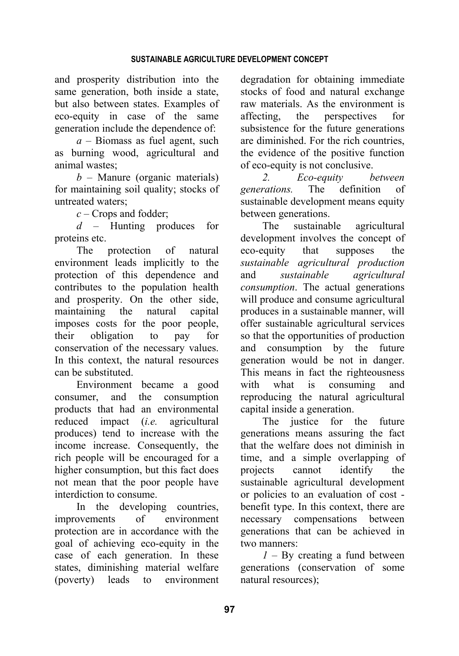and prosperity distribution into the same generation, both inside a state, but also between states. Examples of eco-equity in case of the same generation include the dependence of:

*a* – Biomass as fuel agent, such as burning wood, agricultural and animal wastes;

*b* – Manure (organic materials) for maintaining soil quality; stocks of untreated waters;

*c* – Crops and fodder;

*d* – Hunting produces for proteins etc.

The protection of natural environment leads implicitly to the protection of this dependence and contributes to the population health and prosperity. On the other side, maintaining the natural capital imposes costs for the poor people, their obligation to pay for conservation of the necessary values. In this context, the natural resources can be substituted.

Environment became a good consumer, and the consumption products that had an environmental reduced impact (*i.e.* agricultural produces) tend to increase with the income increase. Consequently, the rich people will be encouraged for a higher consumption, but this fact does not mean that the poor people have interdiction to consume.

In the developing countries, improvements of environment protection are in accordance with the goal of achieving eco-equity in the case of each generation. In these states, diminishing material welfare (poverty) leads to environment degradation for obtaining immediate stocks of food and natural exchange raw materials. As the environment is affecting, the perspectives for subsistence for the future generations are diminished. For the rich countries, the evidence of the positive function of eco-equity is not conclusive.

*2. Eco-equity between generations.* The definition of sustainable development means equity between generations.

The sustainable agricultural development involves the concept of eco-equity that supposes the *sustainable agricultural production* and *sustainable agricultural consumption*. The actual generations will produce and consume agricultural produces in a sustainable manner, will offer sustainable agricultural services so that the opportunities of production and consumption by the future generation would be not in danger. This means in fact the righteousness with what is consuming and reproducing the natural agricultural capital inside a generation.

The justice for the future generations means assuring the fact that the welfare does not diminish in time, and a simple overlapping of projects cannot identify the sustainable agricultural development or policies to an evaluation of cost benefit type. In this context, there are necessary compensations between generations that can be achieved in two manners:

*1* – By creating a fund between generations (conservation of some natural resources);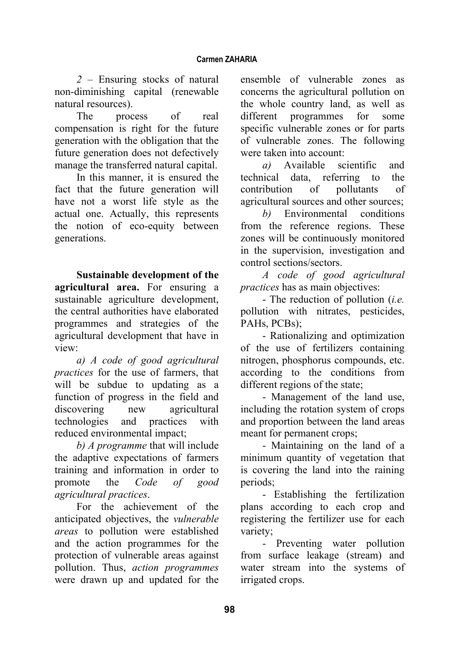*2* – Ensuring stocks of natural non-diminishing capital (renewable natural resources).

The process of real compensation is right for the future generation with the obligation that the future generation does not defectively manage the transferred natural capital.

In this manner, it is ensured the fact that the future generation will have not a worst life style as the actual one. Actually, this represents the notion of eco-equity between generations.

**Sustainable development of the agricultural area.** For ensuring a sustainable agriculture development, the central authorities have elaborated programmes and strategies of the agricultural development that have in view:

*a) A code of good agricultural practices* for the use of farmers, that will be subdue to updating as a function of progress in the field and discovering new agricultural technologies and practices with reduced environmental impact;

*b) A programme* that will include the adaptive expectations of farmers training and information in order to promote the *Code of good agricultural practices*.

For the achievement of the anticipated objectives, the *vulnerable areas* to pollution were established and the action programmes for the protection of vulnerable areas against pollution. Thus, *action programmes* were drawn up and updated for the ensemble of vulnerable zones as concerns the agricultural pollution on the whole country land, as well as different programmes for some specific vulnerable zones or for parts of vulnerable zones. The following were taken into account:

*a)* Available scientific and technical data, referring to the contribution of pollutants of agricultural sources and other sources;

*b)* Environmental conditions from the reference regions. These zones will be continuously monitored in the supervision, investigation and control sections/sectors.

*A code of good agricultural practices* has as main objectives:

- The reduction of pollution (*i.e.* pollution with nitrates, pesticides, PAHs, PCBs);

- Rationalizing and optimization of the use of fertilizers containing nitrogen, phosphorus compounds, etc. according to the conditions from different regions of the state;

- Management of the land use, including the rotation system of crops and proportion between the land areas meant for permanent crops;

- Maintaining on the land of a minimum quantity of vegetation that is covering the land into the raining periods;

- Establishing the fertilization plans according to each crop and registering the fertilizer use for each variety;

- Preventing water pollution from surface leakage (stream) and water stream into the systems of irrigated crops.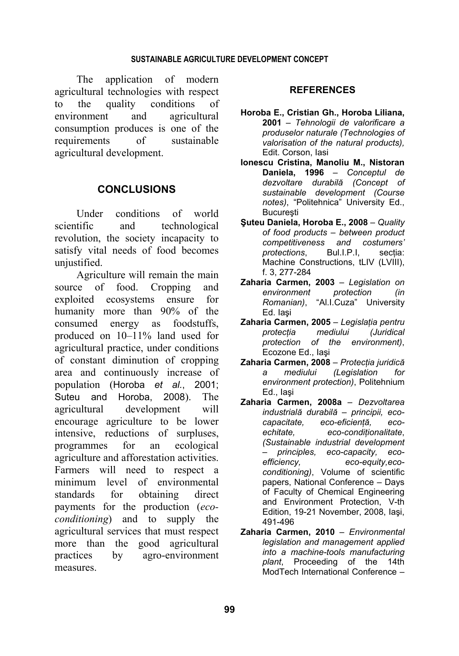The application of modern agricultural technologies with respect to the quality conditions of environment and agricultural consumption produces is one of the requirements of sustainable agricultural development.

# **CONCLUSIONS**

Under conditions of world scientific and technological revolution, the society incapacity to satisfy vital needs of food becomes unjustified.

Agriculture will remain the main source of food. Cropping and exploited ecosystems ensure for humanity more than 90% of the consumed energy as foodstuffs, produced on 10–11% land used for agricultural practice, under conditions of constant diminution of cropping area and continuously increase of population (Horoba *et al.*, 2001; Suteu and Horoba, 2008). The agricultural development will encourage agriculture to be lower intensive, reductions of surpluses, programmes for an ecological agriculture and afforestation activities. Farmers will need to respect a minimum level of environmental standards for obtaining direct payments for the production (*ecoconditioning*) and to supply the agricultural services that must respect more than the good agricultural practices by agro-environment measures.

#### **REFERENCES**

- **Horoba E., Cristian Gh., Horoba Liliana, 2001** – *Tehnologii de valorificare a produselor naturale (Technologies of valorisation of the natural products),* Edit. Corson, Iasi
- **Ionescu Cristina, Manoliu M., Nistoran Daniela, 1996** – *Conceptul de dezvoltare durabilă (Concept of sustainable development (Course notes)*, "Politehnica" University Ed., **Bucuresti**
- **Şuteu Daniela, Horoba E., 2008** *Quality of food products – between product competitiveness and costumers' protections.* Bul.I.P.I. sectia: Machine Constructions, tLIV (LVIII), f. 3, 277-284
- **Zaharia Carmen, 2003** *Legislation on environment protection (in Romanian)*, "Al.I.Cuza" University Ed. Iaşi
- **Zaharia Carmen, 2005** *Legislaţia pentru protecţia mediului (Juridical protection of the environment)*, Ecozone Ed., Iaşi
- **Zaharia Carmen, 2008** *Protecţia juridică a mediului (Legislation for environment protection)*, Politehnium Ed., Iaşi
- **Zaharia Carmen, 2008a**  *Dezvoltarea industrială durabilă – principii, ecocapacitate, eco-eficienţă, ecoechitate, eco-condiţionalitate*, *(Sustainable industrial development – principles, eco-capacity, ecoefficiency, eco-equity,ecoconditioning)*, Volume of scientific papers, National Conference – Days of Faculty of Chemical Engineering and Environment Protection, V-th Edition, 19-21 November, 2008, Iaşi, 491-496
- **Zaharia Carmen, 2010** *Environmental legislation and management applied into a machine-tools manufacturing plant*, Proceeding of the 14th ModTech International Conference –